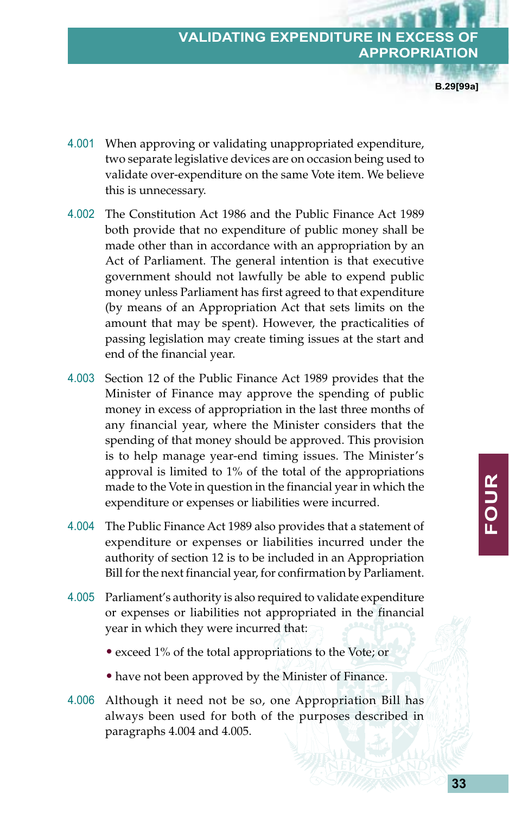## **VALIDATING EXPENDITURE IN APPROPRIATION**

**B.29[99a]**

- 4.001 When approving or validating unappropriated expenditure, two separate legislative devices are on occasion being used to validate over-expenditure on the same Vote item. We believe this is unnecessary.
- 4.002 The Constitution Act 1986 and the Public Finance Act 1989 both provide that no expenditure of public money shall be made other than in accordance with an appropriation by an Act of Parliament. The general intention is that executive government should not lawfully be able to expend public money unless Parliament has first agreed to that expenditure (by means of an Appropriation Act that sets limits on the amount that may be spent). However, the practicalities of passing legislation may create timing issues at the start and end of the financial year.
- 4.003 Section 12 of the Public Finance Act 1989 provides that the Minister of Finance may approve the spending of public money in excess of appropriation in the last three months of any financial year, where the Minister considers that the spending of that money should be approved. This provision is to help manage year-end timing issues. The Minister's approval is limited to 1% of the total of the appropriations made to the Vote in question in the financial year in which the expenditure or expenses or liabilities were incurred.
- 4.004 The Public Finance Act 1989 also provides that a statement of expenditure or expenses or liabilities incurred under the authority of section 12 is to be included in an Appropriation Bill for the next financial year, for confirmation by Parliament.
- 4.005 Parliament's authority is also required to validate expenditure or expenses or liabilities not appropriated in the financial year in which they were incurred that:
	- exceed 1% of the total appropriations to the Vote; or
	- have not been approved by the Minister of Finance.
- 4.006 Although it need not be so, one Appropriation Bill has always been used for both of the purposes described in paragraphs 4.004 and 4.005.